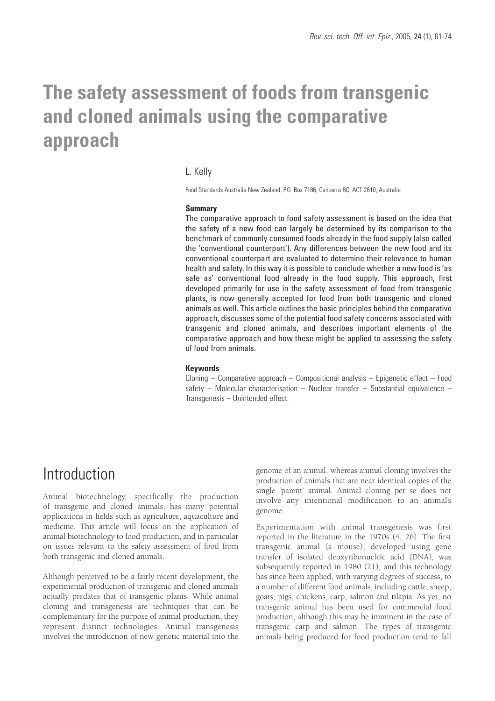# **The safety assessment of foods from transgenic and cloned animals using the comparative approach**

#### L. Kelly

Food Standards Australia New Zealand, P.O. Box 7186, Canberra BC, ACT 2610, Australia

#### **Summary**

The comparative approach to food safety assessment is based on the idea that the safety of a new food can largely be determined by its comparison to the benchmark of commonly consumed foods already in the food supply (also called the 'conventional counterpart'). Any differences between the new food and its conventional counterpart are evaluated to determine their relevance to human health and safety. In this way it is possible to conclude whether a new food is 'as safe as' conventional food already in the food supply. This approach, first developed primarily for use in the safety assessment of food from transgenic plants, is now generally accepted for food from both transgenic and cloned animals as well. This article outlines the basic principles behind the comparative approach, discusses some of the potential food safety concerns associated with transgenic and cloned animals, and describes important elements of the comparative approach and how these might be applied to assessing the safety of food from animals.

#### **Keywords**

Cloning – Comparative approach – Compositional analysis – Epigenetic effect – Food safety – Molecular characterisation – Nuclear transfer – Substantial equivalence – Transgenesis – Unintended effect.

### Introduction

Animal biotechnology, specifically the production of transgenic and cloned animals, has many potential applications in fields such as agriculture, aquaculture and medicine. This article will focus on the application of animal biotechnology to food production, and in particular on issues relevant to the safety assessment of food from both transgenic and cloned animals.

Although perceived to be a fairly recent development, the experimental production of transgenic and cloned animals actually predates that of transgenic plants. While animal cloning and transgenesis are techniques that can be complementary for the purpose of animal production, they represent distinct technologies. Animal transgenesis involves the introduction of new genetic material into the genome of an animal, whereas animal cloning involves the production of animals that are near identical copies of the single 'parent' animal. Animal cloning per se does not involve any intentional modification to an animal's genome.

Experimentation with animal transgenesis was first reported in the literature in the 1970s (4, 26). The first transgenic animal (a mouse), developed using gene transfer of isolated deoxyribonucleic acid (DNA), was subsequently reported in 1980 (21), and this technology has since been applied, with varying degrees of success, to a number of different food animals, including cattle, sheep, goats, pigs, chickens, carp, salmon and tilapia. As yet, no transgenic animal has been used for commercial food production, although this may be imminent in the case of transgenic carp and salmon. The types of transgenic animals being produced for food production tend to fall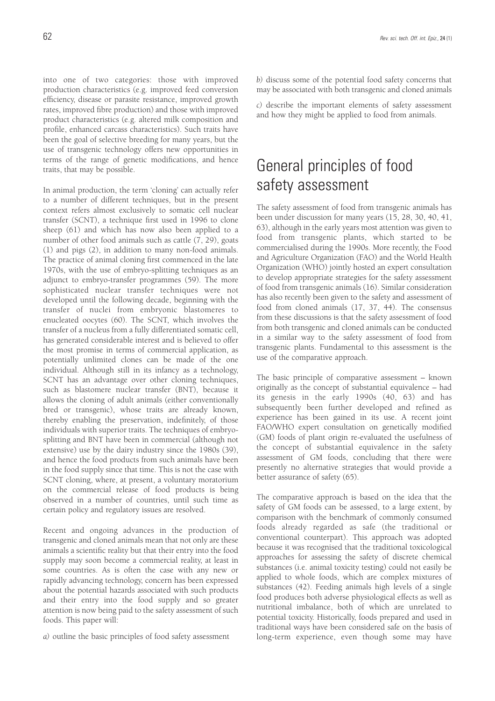into one of two categories: those with improved production characteristics (e.g. improved feed conversion efficiency, disease or parasite resistance, improved growth rates, improved fibre production) and those with improved product characteristics (e.g. altered milk composition and profile, enhanced carcass characteristics). Such traits have been the goal of selective breeding for many years, but the use of transgenic technology offers new opportunities in terms of the range of genetic modifications, and hence traits, that may be possible.

In animal production, the term 'cloning' can actually refer to a number of different techniques, but in the present context refers almost exclusively to somatic cell nuclear transfer (SCNT), a technique first used in 1996 to clone sheep (61) and which has now also been applied to a number of other food animals such as cattle (7, 29), goats (1) and pigs (2), in addition to many non-food animals. The practice of animal cloning first commenced in the late 1970s, with the use of embryo-splitting techniques as an adjunct to embryo-transfer programmes (59). The more sophisticated nuclear transfer techniques were not developed until the following decade, beginning with the transfer of nuclei from embryonic blastomeres to enucleated oocytes (60). The SCNT, which involves the transfer of a nucleus from a fully differentiated somatic cell, has generated considerable interest and is believed to offer the most promise in terms of commercial application, as potentially unlimited clones can be made of the one individual. Although still in its infancy as a technology, SCNT has an advantage over other cloning techniques, such as blastomere nuclear transfer (BNT), because it allows the cloning of adult animals (either conventionally bred or transgenic), whose traits are already known, thereby enabling the preservation, indefinitely, of those individuals with superior traits. The techniques of embryosplitting and BNT have been in commercial (although not extensive) use by the dairy industry since the 1980s (39), and hence the food products from such animals have been in the food supply since that time. This is not the case with SCNT cloning, where, at present, a voluntary moratorium on the commercial release of food products is being observed in a number of countries, until such time as certain policy and regulatory issues are resolved.

Recent and ongoing advances in the production of transgenic and cloned animals mean that not only are these animals a scientific reality but that their entry into the food supply may soon become a commercial reality, at least in some countries. As is often the case with any new or rapidly advancing technology, concern has been expressed about the potential hazards associated with such products and their entry into the food supply and so greater attention is now being paid to the safety assessment of such foods. This paper will:

*a)* outline the basic principles of food safety assessment

*b)* discuss some of the potential food safety concerns that may be associated with both transgenic and cloned animals

*c)* describe the important elements of safety assessment and how they might be applied to food from animals.

# General principles of food safety assessment

The safety assessment of food from transgenic animals has been under discussion for many years (15, 28, 30, 40, 41, 63), although in the early years most attention was given to food from transgenic plants, which started to be commercialised during the 1990s. More recently, the Food and Agriculture Organization (FAO) and the World Health Organization (WHO) jointly hosted an expert consultation to develop appropriate strategies for the safety assessment of food from transgenic animals (16). Similar consideration has also recently been given to the safety and assessment of food from cloned animals (17, 37, 44). The consensus from these discussions is that the safety assessment of food from both transgenic and cloned animals can be conducted in a similar way to the safety assessment of food from transgenic plants. Fundamental to this assessment is the use of the comparative approach.

The basic principle of comparative assessment – known originally as the concept of substantial equivalence – had its genesis in the early 1990s (40, 63) and has subsequently been further developed and refined as experience has been gained in its use. A recent joint FAO/WHO expert consultation on genetically modified (GM) foods of plant origin re-evaluated the usefulness of the concept of substantial equivalence in the safety assessment of GM foods, concluding that there were presently no alternative strategies that would provide a better assurance of safety (65).

The comparative approach is based on the idea that the safety of GM foods can be assessed, to a large extent, by comparison with the benchmark of commonly consumed foods already regarded as safe (the traditional or conventional counterpart). This approach was adopted because it was recognised that the traditional toxicological approaches for assessing the safety of discrete chemical substances (i.e. animal toxicity testing) could not easily be applied to whole foods, which are complex mixtures of substances (42). Feeding animals high levels of a single food produces both adverse physiological effects as well as nutritional imbalance, both of which are unrelated to potential toxicity. Historically, foods prepared and used in traditional ways have been considered safe on the basis of long-term experience, even though some may have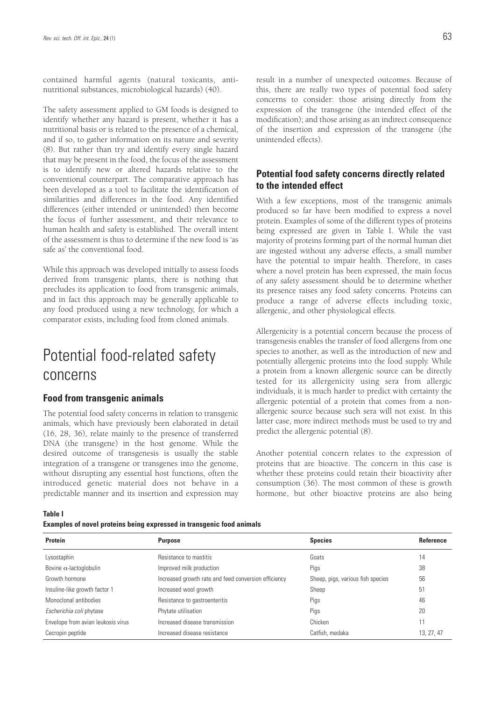contained harmful agents (natural toxicants, antinutritional substances, microbiological hazards) (40).

The safety assessment applied to GM foods is designed to identify whether any hazard is present, whether it has a nutritional basis or is related to the presence of a chemical, and if so, to gather information on its nature and severity (8). But rather than try and identify every single hazard that may be present in the food, the focus of the assessment is to identify new or altered hazards relative to the conventional counterpart. The comparative approach has been developed as a tool to facilitate the identification of similarities and differences in the food. Any identified differences (either intended or unintended) then become the focus of further assessment, and their relevance to human health and safety is established. The overall intent of the assessment is thus to determine if the new food is 'as safe as' the conventional food.

While this approach was developed initially to assess foods derived from transgenic plants, there is nothing that precludes its application to food from transgenic animals, and in fact this approach may be generally applicable to any food produced using a new technology, for which a comparator exists, including food from cloned animals.

# Potential food-related safety concerns

### **Food from transgenic animals**

The potential food safety concerns in relation to transgenic animals, which have previously been elaborated in detail (16, 28, 36), relate mainly to the presence of transferred DNA (the transgene) in the host genome. While the desired outcome of transgenesis is usually the stable integration of a transgene or transgenes into the genome, without disrupting any essential host functions, often the introduced genetic material does not behave in a predictable manner and its insertion and expression may result in a number of unexpected outcomes. Because of this, there are really two types of potential food safety concerns to consider: those arising directly from the expression of the transgene (the intended effect of the modification); and those arising as an indirect consequence of the insertion and expression of the transgene (the unintended effects).

### **Potential food safety concerns directly related to the intended effect**

With a few exceptions, most of the transgenic animals produced so far have been modified to express a novel protein. Examples of some of the different types of proteins being expressed are given in Table I. While the vast majority of proteins forming part of the normal human diet are ingested without any adverse effects, a small number have the potential to impair health. Therefore, in cases where a novel protein has been expressed, the main focus of any safety assessment should be to determine whether its presence raises any food safety concerns. Proteins can produce a range of adverse effects including toxic, allergenic, and other physiological effects.

Allergenicity is a potential concern because the process of transgenesis enables the transfer of food allergens from one species to another, as well as the introduction of new and potentially allergenic proteins into the food supply. While a protein from a known allergenic source can be directly tested for its allergenicity using sera from allergic individuals, it is much harder to predict with certainty the allergenic potential of a protein that comes from a nonallergenic source because such sera will not exist. In this latter case, more indirect methods must be used to try and predict the allergenic potential (8).

Another potential concern relates to the expression of proteins that are bioactive. The concern in this case is whether these proteins could retain their bioactivity after consumption (36). The most common of these is growth hormone, but other bioactive proteins are also being

**Table I**

**Examples of novel proteins being expressed in transgenic food animals**

| Protein                            | <b>Purpose</b>                                       | <b>Species</b>                    | <b>Reference</b> |
|------------------------------------|------------------------------------------------------|-----------------------------------|------------------|
| Lysostaphin                        | Resistance to mastitis                               | Goats                             | 14               |
| Bovine $\alpha$ -lactoglobulin     | Improved milk production                             | Pigs                              | 38               |
| Growth hormone                     | Increased growth rate and feed conversion efficiency | Sheep, pigs, various fish species | 56               |
| Insuline-like growth factor 1      | Increased wool growth                                | Sheep                             | 51               |
| Monoclonal antibodies              | Resistance to gastroenteritis                        | Pigs                              | 46               |
| Escherichia coli phytase           | Phytate utilisation                                  | Pigs                              | 20               |
| Envelope from avian leukosis virus | Increased disease transmission                       | Chicken                           | 11               |
| Cecropin peptide                   | Increased disease resistance                         | Catfish, medaka                   | 13, 27, 47       |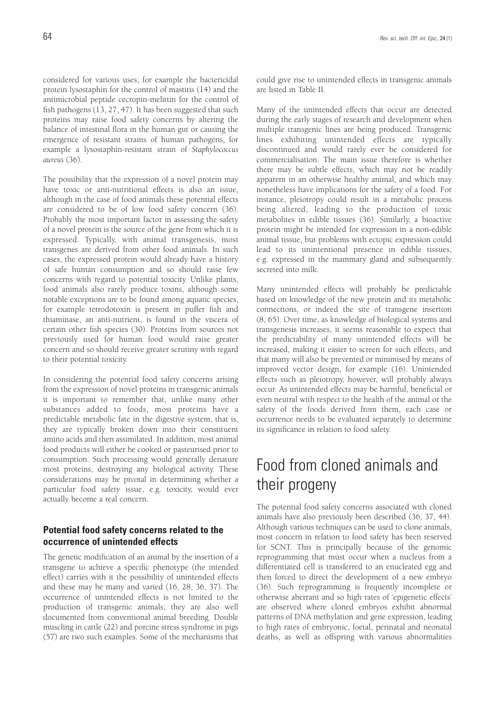considered for various uses, for example the bactericidal protein lysostaphin for the control of mastitis (14) and the antimicrobial peptide cecropin-melittin for the control of fish pathogens (13, 27, 47). It has been suggested that such proteins may raise food safety concerns by altering the balance of intestinal flora in the human gut or causing the emergence of resistant strains of human pathogens, for example a lysostaphin-resistant strain of *Staphylococcus aureus* (36).

The possibility that the expression of a novel protein may have toxic or anti-nutritional effects is also an issue, although in the case of food animals these potential effects are considered to be of low food safety concern (36). Probably the most important factor in assessing the safety of a novel protein is the source of the gene from which it is expressed. Typically, with animal transgenesis, most transgenes are derived from other food animals. In such cases, the expressed protein would already have a history of safe human consumption and so should raise few concerns with regard to potential toxicity. Unlike plants, food animals also rarely produce toxins, although some notable exceptions are to be found among aquatic species, for example tetrodotoxin is present in puffer fish and thiaminase, an anti-nutrient, is found in the viscera of certain other fish species (30). Proteins from sources not previously used for human food would raise greater concern and so should receive greater scrutiny with regard to their potential toxicity.

In considering the potential food safety concerns arising from the expression of novel proteins in transgenic animals it is important to remember that, unlike many other substances added to foods, most proteins have a predictable metabolic fate in the digestive system, that is, they are typically broken down into their constituent amino acids and then assimilated. In addition, most animal food products will either be cooked or pasteurised prior to consumption. Such processing would generally denature most proteins, destroying any biological activity. These considerations may be pivotal in determining whether a particular food safety issue, e.g. toxicity, would ever actually become a real concern.

### **Potential food safety concerns related to the occurrence of unintended effects**

The genetic modification of an animal by the insertion of a transgene to achieve a specific phenotype (the intended effect) carries with it the possibility of unintended effects and these may be many and varied (16, 28, 36, 37). The occurrence of unintended effects is not limited to the production of transgenic animals; they are also well documented from conventional animal breeding. Double muscling in cattle (22) and porcine stress syndrome in pigs (57) are two such examples. Some of the mechanisms that could give rise to unintended effects in transgenic animals are listed in Table II.

Many of the unintended effects that occur are detected during the early stages of research and development when multiple transgenic lines are being produced. Transgenic lines exhibiting unintended effects are typically discontinued and would rarely ever be considered for commercialisation. The main issue therefore is whether there may be subtle effects, which may not be readily apparent in an otherwise healthy animal, and which may nonetheless have implications for the safety of a food. For instance, pleiotropy could result in a metabolic process being altered, leading to the production of toxic metabolites in edible tissues (36). Similarly, a bioactive protein might be intended for expression in a non-edible animal tissue, but problems with ectopic expression could lead to its unintentional presence in edible tissues, e.g. expressed in the mammary gland and subsequently secreted into milk.

Many unintended effects will probably be predictable based on knowledge of the new protein and its metabolic connections, or indeed the site of transgene insertion (8, 65). Over time, as knowledge of biological systems and transgenesis increases, it seems reasonable to expect that the predictability of many unintended effects will be increased, making it easier to screen for such effects, and that many will also be prevented or minimised by means of improved vector design, for example (16). Unintended effects such as pleiotropy, however, will probably always occur. As unintended effects may be harmful, beneficial or even neutral with respect to the health of the animal or the safety of the foods derived from them, each case or occurrence needs to be evaluated separately to determine its significance in relation to food safety.

# Food from cloned animals and their progeny

The potential food safety concerns associated with cloned animals have also previously been described (36, 37, 44). Although various techniques can be used to clone animals, most concern in relation to food safety has been reserved for SCNT. This is principally because of the genomic reprogramming that must occur when a nucleus from a differentiated cell is transferred to an enucleated egg and then forced to direct the development of a new embryo (36). Such reprogramming is frequently incomplete or otherwise aberrant and so high rates of 'epigenetic effects' are observed where cloned embryos exhibit abnormal patterns of DNA methylation and gene expression, leading to high rates of embryonic, foetal, perinatal and neonatal deaths, as well as offspring with various abnormalities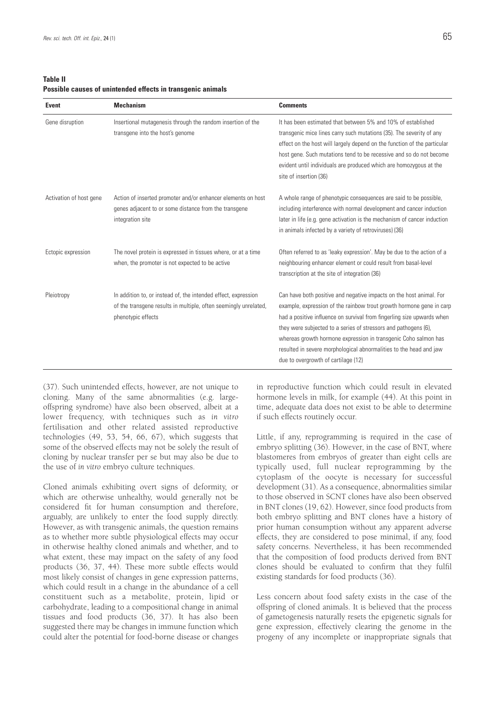**Table II Possible causes of unintended effects in transgenic animals**

| <b>Event</b>            | <b>Mechanism</b>                                                                                                                                         | <b>Comments</b>                                                                                                                                                                                                                                                                                                                                                                                                                                                          |
|-------------------------|----------------------------------------------------------------------------------------------------------------------------------------------------------|--------------------------------------------------------------------------------------------------------------------------------------------------------------------------------------------------------------------------------------------------------------------------------------------------------------------------------------------------------------------------------------------------------------------------------------------------------------------------|
| Gene disruption         | Insertional mutagenesis through the random insertion of the<br>transgene into the host's genome                                                          | It has been estimated that between 5% and 10% of established<br>transgenic mice lines carry such mutations (35). The severity of any<br>effect on the host will largely depend on the function of the particular<br>host gene. Such mutations tend to be recessive and so do not become<br>evident until individuals are produced which are homozygous at the<br>site of insertion (36)                                                                                  |
| Activation of host gene | Action of inserted promoter and/or enhancer elements on host<br>genes adjacent to or some distance from the transgene<br>integration site                | A whole range of phenotypic consequences are said to be possible,<br>including interference with normal development and cancer induction<br>later in life (e.g. gene activation is the mechanism of cancer induction<br>in animals infected by a variety of retroviruses) (36)                                                                                                                                                                                           |
| Ectopic expression      | The novel protein is expressed in tissues where, or at a time<br>when, the promoter is not expected to be active                                         | Often referred to as 'leaky expression'. May be due to the action of a<br>neighbouring enhancer element or could result from basal-level<br>transcription at the site of integration (36)                                                                                                                                                                                                                                                                                |
| Pleiotropy              | In addition to, or instead of, the intended effect, expression<br>of the transgene results in multiple, often seemingly unrelated,<br>phenotypic effects | Can have both positive and negative impacts on the host animal. For<br>example, expression of the rainbow trout growth hormone gene in carp<br>had a positive influence on survival from fingerling size upwards when<br>they were subjected to a series of stressors and pathogens (6),<br>whereas growth hormone expression in transgenic Coho salmon has<br>resulted in severe morphological abnormalities to the head and jaw<br>due to overgrowth of cartilage (12) |

(37). Such unintended effects, however, are not unique to cloning. Many of the same abnormalities (e.g. largeoffspring syndrome) have also been observed, albeit at a lower frequency, with techniques such as *in vitro* fertilisation and other related assisted reproductive technologies (49, 53, 54, 66, 67), which suggests that some of the observed effects may not be solely the result of cloning by nuclear transfer per se but may also be due to the use of *in vitro* embryo culture techniques.

Cloned animals exhibiting overt signs of deformity, or which are otherwise unhealthy, would generally not be considered fit for human consumption and therefore, arguably, are unlikely to enter the food supply directly. However, as with transgenic animals, the question remains as to whether more subtle physiological effects may occur in otherwise healthy cloned animals and whether, and to what extent, these may impact on the safety of any food products (36, 37, 44). These more subtle effects would most likely consist of changes in gene expression patterns, which could result in a change in the abundance of a cell constituent such as a metabolite, protein, lipid or carbohydrate, leading to a compositional change in animal tissues and food products (36, 37). It has also been suggested there may be changes in immune function which could alter the potential for food-borne disease or changes

in reproductive function which could result in elevated hormone levels in milk, for example (44). At this point in time, adequate data does not exist to be able to determine if such effects routinely occur.

Little, if any, reprogramming is required in the case of embryo splitting (36). However, in the case of BNT, where blastomeres from embryos of greater than eight cells are typically used, full nuclear reprogramming by the cytoplasm of the oocyte is necessary for successful development (31). As a consequence, abnormalities similar to those observed in SCNT clones have also been observed in BNT clones (19, 62). However, since food products from both embryo splitting and BNT clones have a history of prior human consumption without any apparent adverse effects, they are considered to pose minimal, if any, food safety concerns. Nevertheless, it has been recommended that the composition of food products derived from BNT clones should be evaluated to confirm that they fulfil existing standards for food products (36).

Less concern about food safety exists in the case of the offspring of cloned animals. It is believed that the process of gametogenesis naturally resets the epigenetic signals for gene expression, effectively clearing the genome in the progeny of any incomplete or inappropriate signals that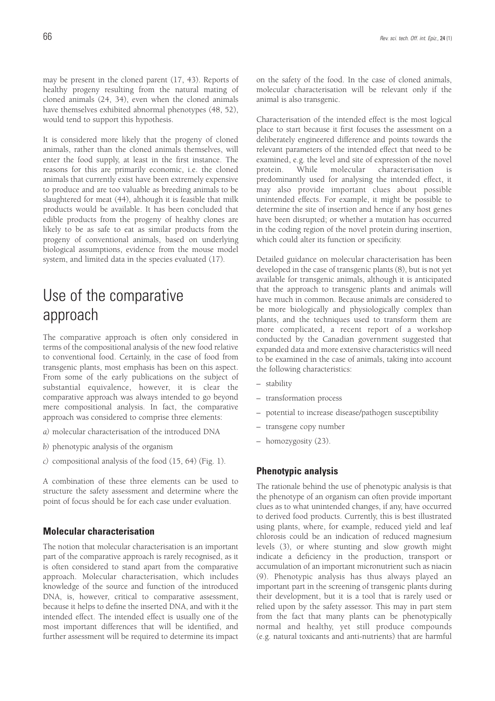may be present in the cloned parent (17, 43). Reports of healthy progeny resulting from the natural mating of cloned animals (24, 34), even when the cloned animals have themselves exhibited abnormal phenotypes (48, 52), would tend to support this hypothesis.

It is considered more likely that the progeny of cloned animals, rather than the cloned animals themselves, will enter the food supply, at least in the first instance. The reasons for this are primarily economic, i.e. the cloned animals that currently exist have been extremely expensive to produce and are too valuable as breeding animals to be slaughtered for meat (44), although it is feasible that milk products would be available. It has been concluded that edible products from the progeny of healthy clones are likely to be as safe to eat as similar products from the progeny of conventional animals, based on underlying biological assumptions, evidence from the mouse model system, and limited data in the species evaluated (17).

# Use of the comparative approach

The comparative approach is often only considered in terms of the compositional analysis of the new food relative to conventional food. Certainly, in the case of food from transgenic plants, most emphasis has been on this aspect. From some of the early publications on the subject of substantial equivalence, however, it is clear the comparative approach was always intended to go beyond mere compositional analysis. In fact, the comparative approach was considered to comprise three elements:

- *a)* molecular characterisation of the introduced DNA
- *b)* phenotypic analysis of the organism
- *c)* compositional analysis of the food (15, 64) (Fig. 1).

A combination of these three elements can be used to structure the safety assessment and determine where the point of focus should be for each case under evaluation.

### **Molecular characterisation**

The notion that molecular characterisation is an important part of the comparative approach is rarely recognised, as it is often considered to stand apart from the comparative approach. Molecular characterisation, which includes knowledge of the source and function of the introduced DNA, is, however, critical to comparative assessment, because it helps to define the inserted DNA, and with it the intended effect. The intended effect is usually one of the most important differences that will be identified, and further assessment will be required to determine its impact on the safety of the food. In the case of cloned animals, molecular characterisation will be relevant only if the animal is also transgenic.

Characterisation of the intended effect is the most logical place to start because it first focuses the assessment on a deliberately engineered difference and points towards the relevant parameters of the intended effect that need to be examined, e.g. the level and site of expression of the novel protein. While molecular characterisation predominantly used for analysing the intended effect, it may also provide important clues about possible unintended effects. For example, it might be possible to determine the site of insertion and hence if any host genes have been disrupted; or whether a mutation has occurred in the coding region of the novel protein during insertion, which could alter its function or specificity.

Detailed guidance on molecular characterisation has been developed in the case of transgenic plants (8), but is not yet available for transgenic animals, although it is anticipated that the approach to transgenic plants and animals will have much in common. Because animals are considered to be more biologically and physiologically complex than plants, and the techniques used to transform them are more complicated, a recent report of a workshop conducted by the Canadian government suggested that expanded data and more extensive characteristics will need to be examined in the case of animals, taking into account the following characteristics:

- stability
- transformation process
- potential to increase disease/pathogen susceptibility
- transgene copy number
- homozygosity (23).

### **Phenotypic analysis**

The rationale behind the use of phenotypic analysis is that the phenotype of an organism can often provide important clues as to what unintended changes, if any, have occurred to derived food products. Currently, this is best illustrated using plants, where, for example, reduced yield and leaf chlorosis could be an indication of reduced magnesium levels (3), or where stunting and slow growth might indicate a deficiency in the production, transport or accumulation of an important micronutrient such as niacin (9). Phenotypic analysis has thus always played an important part in the screening of transgenic plants during their development, but it is a tool that is rarely used or relied upon by the safety assessor. This may in part stem from the fact that many plants can be phenotypically normal and healthy, yet still produce compounds (e.g. natural toxicants and anti-nutrients) that are harmful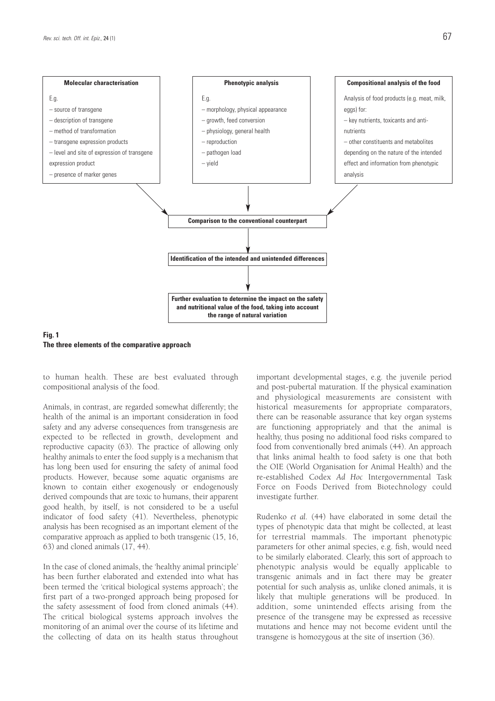



**Fig. 1 The three elements of the comparative approach**

to human health. These are best evaluated through compositional analysis of the food.

Animals, in contrast, are regarded somewhat differently; the health of the animal is an important consideration in food safety and any adverse consequences from transgenesis are expected to be reflected in growth, development and reproductive capacity (63). The practice of allowing only healthy animals to enter the food supply is a mechanism that has long been used for ensuring the safety of animal food products. However, because some aquatic organisms are known to contain either exogenously or endogenously derived compounds that are toxic to humans, their apparent good health, by itself, is not considered to be a useful indicator of food safety (41). Nevertheless, phenotypic analysis has been recognised as an important element of the comparative approach as applied to both transgenic (15, 16, 63) and cloned animals (17, 44).

In the case of cloned animals, the 'healthy animal principle' has been further elaborated and extended into what has been termed the 'critical biological systems approach'; the first part of a two-pronged approach being proposed for the safety assessment of food from cloned animals (44). The critical biological systems approach involves the monitoring of an animal over the course of its lifetime and the collecting of data on its health status throughout important developmental stages, e.g. the juvenile period and post-pubertal maturation. If the physical examination and physiological measurements are consistent with historical measurements for appropriate comparators, there can be reasonable assurance that key organ systems are functioning appropriately and that the animal is healthy, thus posing no additional food risks compared to food from conventionally bred animals (44). An approach that links animal health to food safety is one that both the OIE (World Organisation for Animal Health) and the re-established Codex *Ad Hoc* Intergovernmental Task Force on Foods Derived from Biotechnology could investigate further.

Rudenko *et al.* (44) have elaborated in some detail the types of phenotypic data that might be collected, at least for terrestrial mammals. The important phenotypic parameters for other animal species, e.g. fish, would need to be similarly elaborated. Clearly, this sort of approach to phenotypic analysis would be equally applicable to transgenic animals and in fact there may be greater potential for such analysis as, unlike cloned animals, it is likely that multiple generations will be produced. In addition, some unintended effects arising from the presence of the transgene may be expressed as recessive mutations and hence may not become evident until the transgene is homozygous at the site of insertion (36).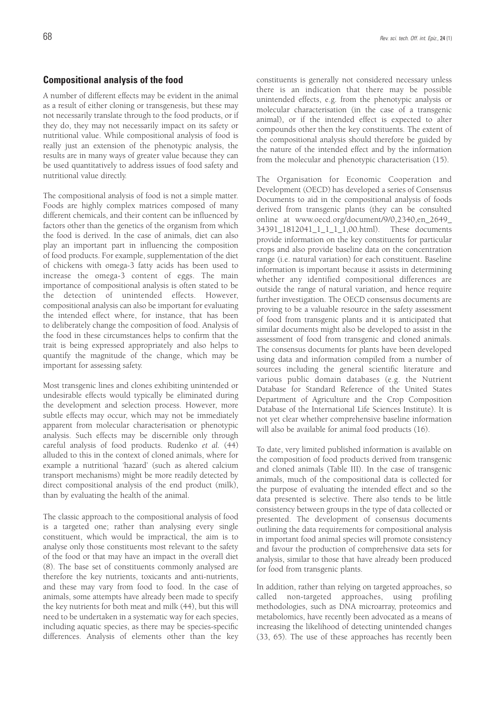### **Compositional analysis of the food**

A number of different effects may be evident in the animal as a result of either cloning or transgenesis, but these may not necessarily translate through to the food products, or if they do, they may not necessarily impact on its safety or nutritional value. While compositional analysis of food is really just an extension of the phenotypic analysis, the results are in many ways of greater value because they can be used quantitatively to address issues of food safety and nutritional value directly.

The compositional analysis of food is not a simple matter. Foods are highly complex matrices composed of many different chemicals, and their content can be influenced by factors other than the genetics of the organism from which the food is derived. In the case of animals, diet can also play an important part in influencing the composition of food products. For example, supplementation of the diet of chickens with omega-3 fatty acids has been used to increase the omega-3 content of eggs. The main importance of compositional analysis is often stated to be the detection of unintended effects. However, compositional analysis can also be important for evaluating the intended effect where, for instance, that has been to deliberately change the composition of food. Analysis of the food in these circumstances helps to confirm that the trait is being expressed appropriately and also helps to quantify the magnitude of the change, which may be important for assessing safety.

Most transgenic lines and clones exhibiting unintended or undesirable effects would typically be eliminated during the development and selection process. However, more subtle effects may occur, which may not be immediately apparent from molecular characterisation or phenotypic analysis. Such effects may be discernible only through careful analysis of food products. Rudenko *et al.* (44) alluded to this in the context of cloned animals, where for example a nutritional 'hazard' (such as altered calcium transport mechanisms) might be more readily detected by direct compositional analysis of the end product (milk), than by evaluating the health of the animal.

The classic approach to the compositional analysis of food is a targeted one; rather than analysing every single constituent, which would be impractical, the aim is to analyse only those constituents most relevant to the safety of the food or that may have an impact in the overall diet (8). The base set of constituents commonly analysed are therefore the key nutrients, toxicants and anti-nutrients, and these may vary from food to food. In the case of animals, some attempts have already been made to specify the key nutrients for both meat and milk (44), but this will need to be undertaken in a systematic way for each species, including aquatic species, as there may be species-specific differences. Analysis of elements other than the key

constituents is generally not considered necessary unless there is an indication that there may be possible unintended effects, e.g. from the phenotypic analysis or molecular characterisation (in the case of a transgenic animal), or if the intended effect is expected to alter compounds other then the key constituents. The extent of the compositional analysis should therefore be guided by the nature of the intended effect and by the information from the molecular and phenotypic characterisation (15).

The Organisation for Economic Cooperation and Development (OECD) has developed a series of Consensus Documents to aid in the compositional analysis of foods derived from transgenic plants (they can be consulted online at www.oecd.org/document/9/0,2340,en\_2649\_ 34391\_1812041\_1\_1\_1\_1,00.html). These documents provide information on the key constituents for particular crops and also provide baseline data on the concentration range (i.e. natural variation) for each constituent. Baseline information is important because it assists in determining whether any identified compositional differences are outside the range of natural variation, and hence require further investigation. The OECD consensus documents are proving to be a valuable resource in the safety assessment of food from transgenic plants and it is anticipated that similar documents might also be developed to assist in the assessment of food from transgenic and cloned animals. The consensus documents for plants have been developed using data and information compiled from a number of sources including the general scientific literature and various public domain databases (e.g. the Nutrient Database for Standard Reference of the United States Department of Agriculture and the Crop Composition Database of the International Life Sciences Institute). It is not yet clear whether comprehensive baseline information will also be available for animal food products (16).

To date, very limited published information is available on the composition of food products derived from transgenic and cloned animals (Table III). In the case of transgenic animals, much of the compositional data is collected for the purpose of evaluating the intended effect and so the data presented is selective. There also tends to be little consistency between groups in the type of data collected or presented. The development of consensus documents outlining the data requirements for compositional analysis in important food animal species will promote consistency and favour the production of comprehensive data sets for analysis, similar to those that have already been produced for food from transgenic plants.

In addition, rather than relying on targeted approaches, so called non-targeted approaches, using profiling methodologies, such as DNA microarray, proteomics and metabolomics, have recently been advocated as a means of increasing the likelihood of detecting unintended changes (33, 65). The use of these approaches has recently been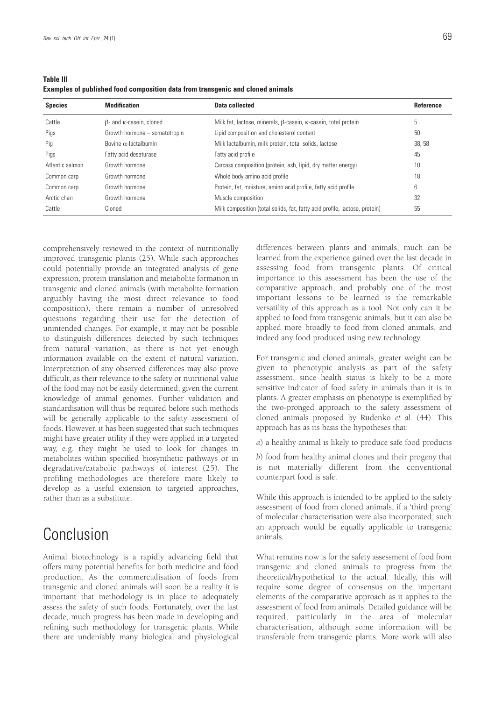| <b>Table III</b>                                                                      |  |
|---------------------------------------------------------------------------------------|--|
| <b>Examples of published food composition data from transgenic and cloned animals</b> |  |

| <b>Species</b>  | <b>Modification</b>                    | Data collected                                                                | Reference |
|-----------------|----------------------------------------|-------------------------------------------------------------------------------|-----------|
| Cattle          | $\beta$ - and $\kappa$ -casein, cloned | Milk fat, lactose, minerals, $\beta$ -casein, $\kappa$ -casein, total protein | 5         |
| Pigs            | Growth hormone - somatotropin          | Lipid composition and cholesterol content                                     | 50        |
| Pig             | Bovine $\alpha$ -lactalbumin           | Milk lactalbumin, milk protein, total solids, lactose                         | 38, 58    |
| Pigs            | Fatty acid desaturase                  | Fatty acid profile                                                            | 45        |
| Atlantic salmon | Growth hormone                         | Carcass composition (protein, ash, lipid, dry matter energy)                  | 10        |
| Common carp     | Growth hormone                         | Whole body amino acid profile                                                 | 18        |
| Common carp     | Growth hormone                         | Protein, fat, moisture, amino acid profile, fatty acid profile                | 6         |
| Arctic charr    | Growth hormone                         | Muscle composition                                                            | 32        |
| Cattle          | Cloned                                 | Milk composition (total solids, fat, fatty acid profile, lactose, protein)    | 55        |

comprehensively reviewed in the context of nutritionally improved transgenic plants (25). While such approaches could potentially provide an integrated analysis of gene expression, protein translation and metabolite formation in transgenic and cloned animals (with metabolite formation arguably having the most direct relevance to food composition), there remain a number of unresolved questions regarding their use for the detection of unintended changes. For example, it may not be possible to distinguish differences detected by such techniques from natural variation, as there is not yet enough information available on the extent of natural variation. Interpretation of any observed differences may also prove difficult, as their relevance to the safety or nutritional value of the food may not be easily determined, given the current knowledge of animal genomes. Further validation and standardisation will thus be required before such methods will be generally applicable to the safety assessment of foods. However, it has been suggested that such techniques might have greater utility if they were applied in a targeted way, e.g. they might be used to look for changes in metabolites within specified biosynthetic pathways or in degradative/catabolic pathways of interest (25). The profiling methodologies are therefore more likely to develop as a useful extension to targeted approaches, rather than as a substitute.

# Conclusion

Animal biotechnology is a rapidly advancing field that offers many potential benefits for both medicine and food production. As the commercialisation of foods from transgenic and cloned animals will soon be a reality it is important that methodology is in place to adequately assess the safety of such foods. Fortunately, over the last decade, much progress has been made in developing and refining such methodology for transgenic plants. While there are undeniably many biological and physiological differences between plants and animals, much can be learned from the experience gained over the last decade in assessing food from transgenic plants. Of critical importance to this assessment has been the use of the comparative approach, and probably one of the most important lessons to be learned is the remarkable versatility of this approach as a tool. Not only can it be applied to food from transgenic animals, but it can also be applied more broadly to food from cloned animals, and indeed any food produced using new technology.

For transgenic and cloned animals, greater weight can be given to phenotypic analysis as part of the safety assessment, since health status is likely to be a more sensitive indicator of food safety in animals than it is in plants. A greater emphasis on phenotype is exemplified by the two-pronged approach to the safety assessment of cloned animals proposed by Rudenko *et al.* (44). This approach has as its basis the hypotheses that:

*a*) a healthy animal is likely to produce safe food products

*b*) food from healthy animal clones and their progeny that is not materially different from the conventional counterpart food is safe.

While this approach is intended to be applied to the safety assessment of food from cloned animals, if a 'third prong' of molecular characterisation were also incorporated, such an approach would be equally applicable to transgenic animals.

What remains now is for the safety assessment of food from transgenic and cloned animals to progress from the theoretical/hypothetical to the actual. Ideally, this will require some degree of consensus on the important elements of the comparative approach as it applies to the assessment of food from animals. Detailed guidance will be required, particularly in the area of molecular characterisation, although some information will be transferable from transgenic plants. More work will also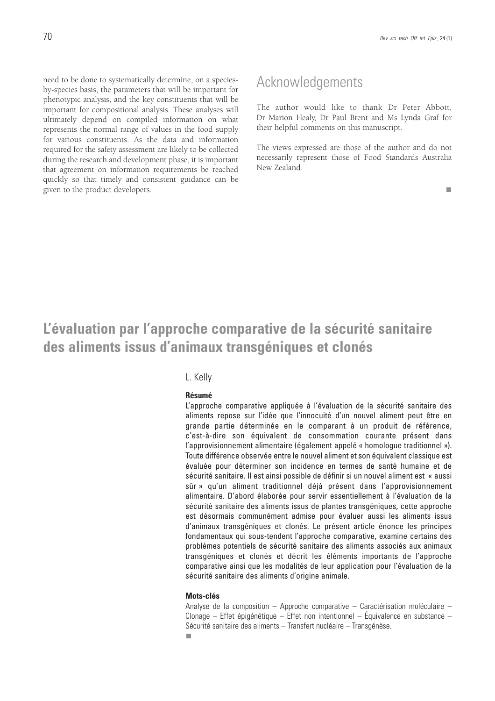need to be done to systematically determine, on a speciesby-species basis, the parameters that will be important for phenotypic analysis, and the key constituents that will be important for compositional analysis. These analyses will ultimately depend on compiled information on what represents the normal range of values in the food supply for various constituents. As the data and information required for the safety assessment are likely to be collected during the research and development phase, it is important that agreement on information requirements be reached quickly so that timely and consistent guidance can be given to the product developers.

### Acknowledgements

The author would like to thank Dr Peter Abbott, Dr Marion Healy, Dr Paul Brent and Ms Lynda Graf for their helpful comments on this manuscript.

The views expressed are those of the author and do not necessarily represent those of Food Standards Australia New Zealand.

 $\mathbf{r}$ 

# **L'évaluation par l'approche comparative de la sécurité sanitaire des aliments issus d'animaux transgéniques et clonés**

#### L. Kelly

#### **Résumé**

L'approche comparative appliquée à l'évaluation de la sécurité sanitaire des aliments repose sur l'idée que l'innocuité d'un nouvel aliment peut être en grande partie déterminée en le comparant à un produit de référence, c'est-à-dire son équivalent de consommation courante présent dans l'approvisionnement alimentaire (également appelé « homologue traditionnel »). Toute différence observée entre le nouvel aliment et son équivalent classique est évaluée pour déterminer son incidence en termes de santé humaine et de sécurité sanitaire. Il est ainsi possible de définir si un nouvel aliment est « aussi sûr » qu'un aliment traditionnel déjà présent dans l'approvisionnement alimentaire. D'abord élaborée pour servir essentiellement à l'évaluation de la sécurité sanitaire des aliments issus de plantes transgéniques, cette approche est désormais communément admise pour évaluer aussi les aliments issus d'animaux transgéniques et clonés. Le présent article énonce les principes fondamentaux qui sous-tendent l'approche comparative, examine certains des problèmes potentiels de sécurité sanitaire des aliments associés aux animaux transgéniques et clonés et décrit les éléments importants de l'approche comparative ainsi que les modalités de leur application pour l'évaluation de la sécurité sanitaire des aliments d'origine animale.

#### **Mots-clés**

Analyse de la composition – Approche comparative – Caractérisation moléculaire – Clonage – Effet épigénétique – Effet non intentionnel – Équivalence en substance – Sécurité sanitaire des aliments – Transfert nucléaire – Transgénèse.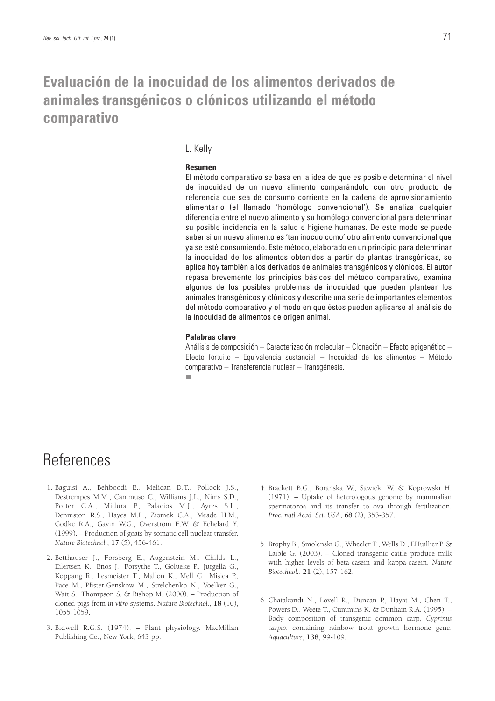# **Evaluación de la inocuidad de los alimentos derivados de animales transgénicos o clónicos utilizando el método comparativo**

### L. Kelly

### **Resumen**

El método comparativo se basa en la idea de que es posible determinar el nivel de inocuidad de un nuevo alimento comparándolo con otro producto de referencia que sea de consumo corriente en la cadena de aprovisionamiento alimentario (el llamado 'homólogo convencional'). Se analiza cualquier diferencia entre el nuevo alimento y su homólogo convencional para determinar su posible incidencia en la salud e higiene humanas. De este modo se puede saber si un nuevo alimento es 'tan inocuo como' otro alimento convencional que ya se esté consumiendo. Este método, elaborado en un principio para determinar la inocuidad de los alimentos obtenidos a partir de plantas transgénicas, se aplica hoy también a los derivados de animales transgénicos y clónicos. El autor repasa brevemente los principios básicos del método comparativo, examina algunos de los posibles problemas de inocuidad que pueden plantear los animales transgénicos y clónicos y describe una serie de importantes elementos del método comparativo y el modo en que éstos pueden aplicarse al análisis de la inocuidad de alimentos de origen animal.

#### **Palabras clave**

Análisis de composición – Caracterización molecular – Clonación – Efecto epigenético – Efecto fortuito – Equivalencia sustancial – Inocuidad de los alimentos – Método comparativo – Transferencia nuclear – Transgénesis.п

### References

- 1. Baguisi A., Behboodi E., Melican D.T., Pollock J.S., Destrempes M.M., Cammuso C., Williams J.L., Nims S.D., Porter C.A., Midura P., Palacios M.J., Ayres S.L., Denniston R.S., Hayes M.L., Ziomek C.A., Meade H.M., Godke R.A., Gavin W.G., Overstrom E.W. & Echelard Y. (1999). – Production of goats by somatic cell nuclear transfer. *Nature Biotechnol.*, **17** (5), 456-461.
- 2. Betthauser J., Forsberg E., Augenstein M., Childs L., Eilertsen K., Enos J., Forsythe T., Golueke P., Jurgella G., Koppang R., Lesmeister T., Mallon K., Mell G., Misica P., Pace M., Pfister-Genskow M., Strelchenko N., Voelker G., Watt S., Thompson S. & Bishop M. (2000). – Production of cloned pigs from *in vitro* systems. *Nature Biotechnol.*, **18** (10), 1055-1059.
- 3. Bidwell R.G.S. (1974). Plant physiology. MacMillan Publishing Co., New York, 643 pp.
- 4. Brackett B.G., Boranska W., Sawicki W. & Koprowski H. (1971). – Uptake of heterologous genome by mammalian spermatozoa and its transfer to ova through fertilization. *Proc. natl Acad. Sci. USA*, **68** (2), 353-357.
- 5. Brophy B., Smolenski G., Wheeler T., Wells D., L'Huillier P. & Laible G. (2003). – Cloned transgenic cattle produce milk with higher levels of beta-casein and kappa-casein. *Nature Biotechnol.*, **21** (2), 157-162.
- 6. Chatakondi N., Lovell R., Duncan P., Hayat M., Chen T., Powers D., Weete T., Cummins K. & Dunham R.A. (1995). – Body composition of transgenic common carp, *Cyprinus carpio*, containing rainbow trout growth hormone gene. *Aquaculture*, **138**, 99-109.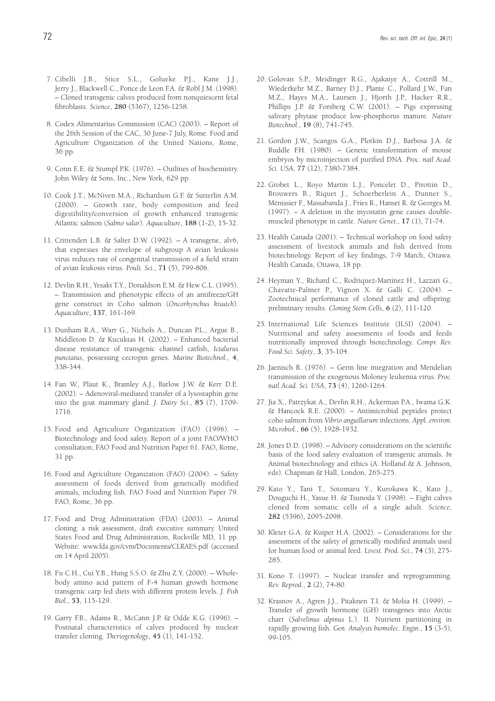- 7. Cibelli J.B., Stice S.L., Golueke P.J., Kane J.J., Jerry J., Blackwell C., Ponce de Leon F.A. & Robl J.M. (1998). – Cloned transgenic calves produced from nonquiescent fetal fibroblasts. *Science*, **280** (5367), 1256-1258.
- 8. Codex Alimentarius Commission (CAC) (2003). Report of the 26th Session of the CAC, 30 June-7 July, Rome. Food and Agriculture Organization of the United Nations, Rome, 36 pp.
- 9. Conn E.E. & Stumpf P.K. (1976). Outlines of biochemistry. John Wiley & Sons, Inc., New York, 629 pp.
- 10. Cook J.T., McNiven M.A., Richardson G.F. & Sutterlin A.M. (2000). – Growth rate, body composition and feed digestibility/conversion of growth enhanced transgenic Atlantic salmon (*Salmo salar*). *Aquaculture*, **188** (1-2), 15-32.
- 11. Crittenden L.B. & Salter D.W. (1992). A transgene, alv6, that expresses the envelope of subgroup A avian leukosis virus reduces rate of congenital transmission of a field strain of avian leukosis virus. *Poult. Sci.*, **71** (5), 799-806.
- 12. Devlin R.H., Yesaki T.Y., Donaldson E.M. & Hew C.L. (1995). – Transmission and phenotypic effects of an antifreeze/GH gene construct in Coho salmon (*Oncorhynchus kisutch*). *Aquaculture*, **137**, 161-169.
- 13. Dunham R.A., Warr G., Nichols A., Duncan P.L., Argue B., Middleton D. & Kucuktas H. (2002). – Enhanced bacterial disease resistance of transgenic channel catfish, *Ictalurus punctatus*, possessing cecropin genes. *Marine Biotechnol.*, **4**, 338-344.
- 14. Fan W., Plaut K., Bramley A.J., Barlow J.W. & Kerr D.E. (2002). – Adenoviral-mediated transfer of a lysostaphin gene into the goat mammary gland. *J. Dairy Sci.*, **85** (7), 1709- 1716.
- 15. Food and Agriculture Organization (FAO) (1996). Biotechnology and food safety. Report of a joint FAO/WHO consultation, FAO Food and Nutrition Paper 61. FAO, Rome, 31 pp.
- 16. Food and Agriculture Organization (FAO) (2004). Safety assessment of foods derived from genetically modified animals, including fish. FAO Food and Nutrition Paper 79. FAO, Rome, 36 pp.
- 17. Food and Drug Administration (FDA) (2003). Animal cloning: a risk assessment, draft executive summary. United States Food and Drug Administration, Rockville MD, 11 pp. Website: www.fda.gov/cvm/Documents/CLRAES.pdf (accessed on 14 April 2005).
- 18. Fu C.H., Cui Y.B., Hung S.S.O. & Zhu Z.Y. (2000). Wholebody amino acid pattern of F-4 human growth hormone transgenic carp fed diets with different protein levels. *J. Fish Biol.*, **53**, 115-129.
- 19. Garry F.B., Adams R., McCann J.P. & Odde K.G. (1996). Postnatal characteristics of calves produced by nuclear transfer cloning. *Theriogenology*, **45** (1), 141-152.
- 20. Golovan S.P., Meidinger R.G., Ajakaiye A., Cottrill M., Wiederkehr M.Z., Barney D.J., Plante C., Pollard J.W., Fan M.Z., Hayes M.A., Laursen J., Hjorth J.P., Hacker R.R., Phillips J.P. & Forsberg C.W. (2001). – Pigs expressing salivary phytase produce low-phosphorus manure. *Nature Biotechnol.*, **19** (8), 741-745.
- 21. Gordon J.W., Scangos G.A., Plotkin D.J., Barbosa J.A. & Ruddle F.H. (1980). – Genetic transformation of mouse embryos by microinjection of purified DNA. *Proc. natl Acad. Sci. USA*, **77** (12), 7380-7384.
- 22. Grobet L., Royo Martin L.J., Poncelet D., Pirottin D., Brouwers B., Riquet J., Schoerberlein A., Dunner S., Ménissier F., Massabanda J., Fries R., Hanset R. & Georges M. (1997). – A deletion in the myostatin gene causes doublemuscled phenotype in cattle. *Nature Genet.*, **17** (1), 71-74.
- 23. Health Canada (2001). Technical workshop on food safety assessment of livestock animals and fish derived from biotechnology. Report of key findings, 7-9 March, Ottawa. Health Canada, Ottawa, 18 pp.
- 24. Heyman Y., Richard C., Rodriquez-Martinez H., Lazzari G., Chavatte-Palmer P., Vignon X. & Galli C. (2004). – Zootechnical performance of cloned cattle and offspring: preliminary results. *Cloning Stem Cells*, **6** (2), 111-120.
- 25. International Life Sciences Institute (ILSI) (2004). Nutritional and safety assessments of foods and feeds nutritionally improved through biotechnology. *Compr. Rev. Food Sci. Safety*, **3**, 35-104.
- 26. Jaenisch R. (1976). Germ line integration and Mendelian transmission of the exogenous Moloney leukemia virus. *Proc. natl Acad. Sci. USA*, **73** (4), 1260-1264.
- 27. Jia X., Patrzykat A., Devlin R.H., Ackerman P.A., Iwama G.K. & Hancock R.E. (2000). – Antimicrobial peptides protect coho salmon from *Vibrio anguillarum* infections*. Appl. environ. Microbiol.*, **66** (5), 1928-1932.
- 28. Jones D.D. (1998). Advisory considerations on the scientific basis of the food safety evaluation of transgenic animals. *In* Animal biotechnology and ethics (A. Holland & A. Johnson, eds). Chapman & Hall, London, 265-275.
- 29. Kato Y., Tani T., Sotomaru Y., Kurokawa K., Kato J., Douguchi H., Yasue H. & Tsunoda Y. (1998). – Eight calves cloned from somatic cells of a single adult. *Science*, **282** (5396), 2095-2098.
- 30. Kleter G.A. & Kuiper H.A. (2002). Considerations for the assessment of the safety of genetically modified animals used for human food or animal feed. *Livest. Prod. Sci.*, **74** (3), 275- 285.
- 31. Kono T. (1997). Nuclear transfer and reprogramming. *Rev. Reprod.*, **2** (2), 74-80.
- 32. Krasnov A., Agren J.J., Pitaknen T.I. & Molsa H. (1999). Transfer of growth hormone (GH) transgenes into Arctic charr (*Salvelinus alpinus* L.). II. Nutrient partitioning in rapidly growing fish. *Gen. Analysis biomolec. Engin.*, **15** (3-5), 99-105.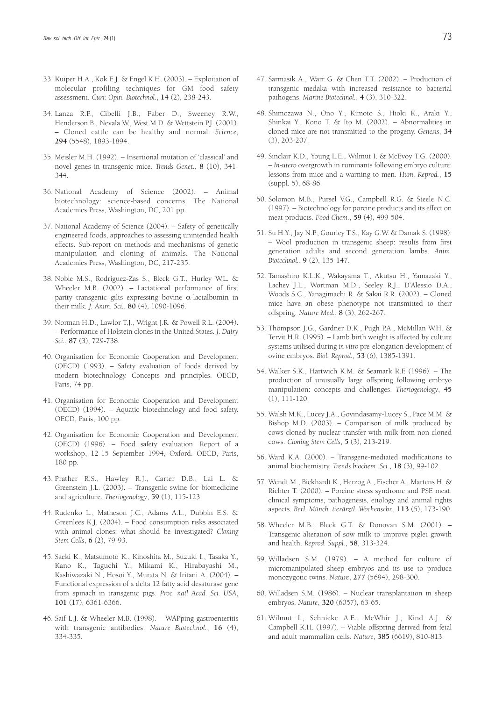- 33. Kuiper H.A., Kok E.J. & Engel K.H. (2003). Exploitation of molecular profiling techniques for GM food safety assessment. *Curr. Opin. Biotechnol.*, **14** (2), 238-243.
- 34. Lanza R.P., Cibelli J.B., Faber D., Sweeney R.W., Henderson B., Nevala W., West M.D. & Wettstein P.J. (2001). – Cloned cattle can be healthy and normal. *Science*, **294** (5548), 1893-1894.
- 35. Meisler M.H. (1992). Insertional mutation of 'classical' and novel genes in transgenic mice. *Trends Genet.*, **8** (10), 341- 344.
- 36. National Academy of Science (2002). Animal biotechnology: science-based concerns. The National Academies Press, Washington, DC, 201 pp.
- 37. National Academy of Science (2004). Safety of genetically engineered foods, approaches to assessing unintended health effects. Sub-report on methods and mechanisms of genetic manipulation and cloning of animals. The National Academies Press, Washington, DC, 217-235.
- 38. Noble M.S., Rodriguez-Zas S., Bleck G.T., Hurley W.L. & Wheeler M.B. (2002). – Lactational performance of first parity transgenic gilts expressing bovine α-lactalbumin in their milk. *J. Anim. Sci.*, **80** (4), 1090-1096.
- 39. Norman H.D., Lawlor T.J., Wright J.R. & Powell R.L. (2004). – Performance of Holstein clones in the United States. *J. Dairy Sci.*, **87** (3), 729-738.
- 40. Organisation for Economic Cooperation and Development (OECD) (1993). – Safety evaluation of foods derived by modern biotechnology. Concepts and principles. OECD, Paris, 74 pp.
- 41. Organisation for Economic Cooperation and Development (OECD) (1994). – Aquatic biotechnology and food safety. OECD, Paris, 100 pp.
- 42. Organisation for Economic Cooperation and Development (OECD) (1996). – Food safety evaluation. Report of a workshop, 12-15 September 1994, Oxford. OECD, Paris, 180 pp.
- 43. Prather R.S., Hawley R.J., Carter D.B., Lai L. & Greenstein J.L. (2003). – Transgenic swine for biomedicine and agriculture. *Theriogenology*, **59** (1), 115-123.
- 44. Rudenko L., Matheson J.C., Adams A.L., Dubbin E.S. & Greenlees K.J. (2004). – Food consumption risks associated with animal clones: what should be investigated? *Cloning Stem Cells*, **6** (2), 79-93.
- 45. Saeki K., Matsumoto K., Kinoshita M., Suzuki I., Tasaka Y., Kano K., Taguchi Y., Mikami K., Hirabayashi M., Kashiwazaki N., Hosoi Y., Murata N. & Iritani A. (2004). – Functional expression of a delta 12 fatty acid desaturase gene from spinach in transgenic pigs. *Proc. natl Acad. Sci. USA*, **101** (17), 6361-6366.
- 46. Saif L.J. & Wheeler M.B. (1998). WAPping gastroenteritis with transgenic antibodies. *Nature Biotechnol.*, **16** (4), 334-335.
- 47. Sarmasik A., Warr G. & Chen T.T. (2002). Production of transgenic medaka with increased resistance to bacterial pathogens. *Marine Biotechnol.*, **4** (3), 310-322.
- 48. Shimozawa N., Ono Y., Kimoto S., Hioki K., Araki Y., Shinkai Y., Kono T. & Ito M. (2002). – Abnormalities in cloned mice are not transmitted to the progeny. *Genesis*, **34** (3), 203-207.
- 49. Sinclair K.D., Young L.E., Wilmut I. & McEvoy T.G. (2000). – *In-utero* overgrowth in ruminants following embryo culture: lessons from mice and a warning to men. *Hum. Reprod.*, **15** (suppl. 5), 68-86.
- 50. Solomon M.B., Pursel V.G., Campbell R.G. & Steele N.C. (1997). – Biotechnology for porcine products and its effect on meat products. *Food Chem.*, **59** (4), 499-504.
- 51. Su H.Y., Jay N.P., Gourley T.S., Kay G.W. & Damak S. (1998). – Wool production in transgenic sheep: results from first generation adults and second generation lambs. *Anim. Biotechnol.*, **9** (2), 135-147.
- 52. Tamashiro K.L.K., Wakayama T., Akutsu H., Yamazaki Y., Lachey J.L., Wortman M.D., Seeley R.J., D'Alessio D.A., Woods S.C., Yanagimachi R. & Sakai R.R. (2002). – Cloned mice have an obese phenotype not transmitted to their offspring. *Nature Med.*, **8** (3), 262-267.
- 53. Thompson J.G., Gardner D.K., Pugh P.A., McMillan W.H. & Tervit H.R. (1995). – Lamb birth weight is affected by culture systems utilised during *in vitro* pre-elongation development of ovine embryos. *Biol. Reprod.*, **53** (6), 1385-1391.
- 54. Walker S.K., Hartwich K.M. & Seamark R.F. (1996). The production of unusually large offspring following embryo manipulation: concepts and challenges. *Theriogenology*, **45** (1), 111-120.
- 55. Walsh M.K., Lucey J.A., Govindasamy-Lucey S., Pace M.M. & Bishop M.D. (2003). – Comparison of milk produced by cows cloned by nuclear transfer with milk from non-cloned cows. *Cloning Stem Cells*, **5** (3), 213-219.
- 56. Ward K.A. (2000). Transgene-mediated modifications to animal biochemistry. *Trends biochem. Sci.*, **18** (3), 99-102.
- 57. Wendt M., Bickhardt K., Herzog A., Fischer A., Martens H. & Richter T. (2000). – Porcine stress syndrome and PSE meat: clinical symptoms, pathogenesis, etiology and animal rights aspects. *Berl. Münch. tierärztl. Wochenschr.*, **113** (5), 173-190.
- 58. Wheeler M.B., Bleck G.T. & Donovan S.M. (2001). Transgenic alteration of sow milk to improve piglet growth and health. *Reprod. Suppl.*, **58**, 313-324.
- 59. Willadsen S.M. (1979). A method for culture of micromanipulated sheep embryos and its use to produce monozygotic twins. *Nature*, **277** (5694), 298-300.
- 60. Willadsen S.M. (1986). Nuclear transplantation in sheep embryos. *Nature*, **320** (6057), 63-65.
- 61. Wilmut I., Schnieke A.E., McWhir J., Kind A.J. & Campbell K.H. (1997). – Viable offspring derived from fetal and adult mammalian cells. *Nature*, **385** (6619), 810-813.